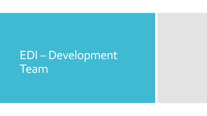# EDI –Development Team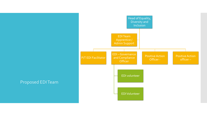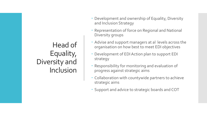## Head of Equality, Diversity and Inclusion

- Development and ownership of Equality, Diversity and Inclusion Strategy
- Representation of force on Regional and National Diversity groups
- Advise and support managers at al levels across the organisation on how best to meet EDI objectives
- Development of EDI Action plan to support EDI strategy
- Responsibility for monitoring and evaluation of progress against strategic aims
- Collaboration with countywide partners to achieve strategic aims
- Support and advice to strategic boards and COT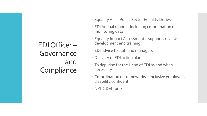# EDI Officer – Governance and **Compliance**

- Equality Act Public Sector Equality Duties
- EDI Annual report Including co-ordination of monitoring data
- Equality Impact Assessment support , review, development and training
- EDI advice to staff and managers
- Delivery of EDI action plan
- To deputise for the Head of EDI as and when necessary
- Co-ordination of frameworks inclusive employers disability confident
- NPCC DEI Toolkit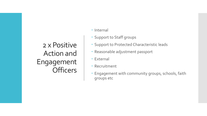## 2 x Positive Action and Engagement **Officers**

- Internal
- Support to Staff groups
- Support to Protected Characteristic leads
- Reasonable adjustment passport
- External
- Recruitment
- Engagement with community groups, schools, faith groups etc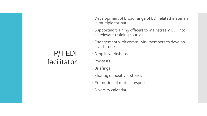## P/T EDI facilitator

- Development of broad range of EDI related materials in multiple formats
- Supporting training officers to mainstream EDI into all relevant training courses
- Engagement with community members to develop 'lived stories'
- Drop in workshops
- Podcasts
- Briefings
- **· Sharing of positives stories**
- Promotion of mutual respect.
- Diversity calendar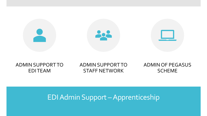

#### ADMIN SUPPORT TO EDI TEAM

#### ADMIN SUPPORT TO STAFF NETWORK

#### ADMIN OF PEGASUS SCHEME

### EDI Admin Support –Apprenticeship